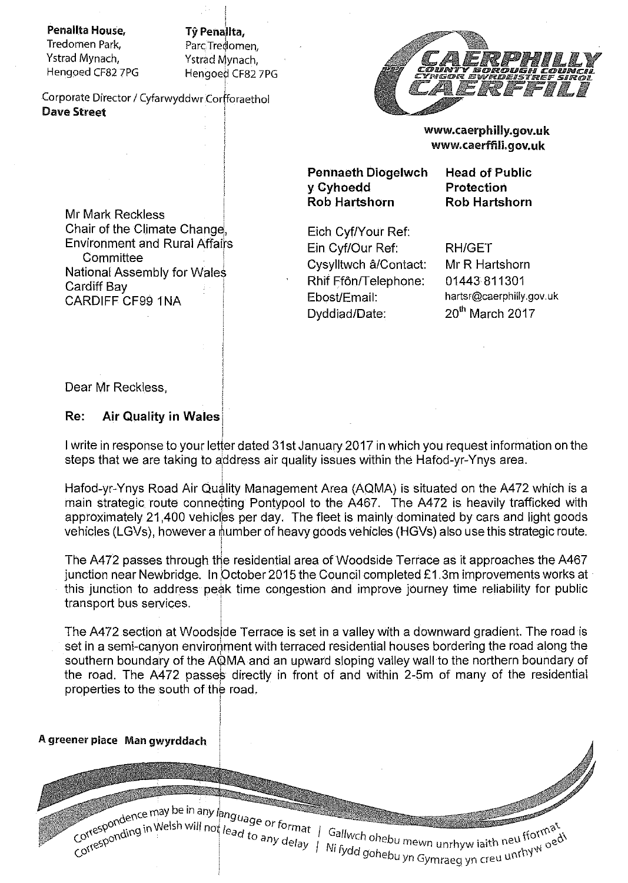Penallta House,

Tredomen Park, Ystrad Mynach, Hengoed CF82 7PG

Tŷ Penallta, Parc Tredomen. Ystrad Mynach. Hengoed CF82 7PG

Corporate Director / Cyfarwyddwr Corfforaethol Dave Street



www.caerphilly.gov.uk www.caerffili.gov.uk

Pennaeth Diogelwch y Cyhoedd Rob Hartshorn

Head of Public Protection Rob Hartshorn

Mr Mark Reckless Chair of the Climate Environment and Rural Affairs **Committee** National Assembly for Wales Cardiff Bay CARDIFF CF99 1NA

Eich Cyf/Your Ref: Ein Cyf/Our Ref: Cysylltwch a/Contact: Rhif Ffôn/Telephone: Ebost/Email: Dyddiad/Date:

RH/GET Mr R Hartshorn 01443 811301 hartsr@caerphilly.gov.uk 20<sup>th</sup> March 2017

Dear Mr Reckless,

#### Re: Air Quality in Wales

I write in response to your letter dated 31st January 2017 in which you request information on the steps that we are taking to address air quality issues within the Hafod-yr-Ynys area.

Hafod-yr-Ynys Road Air Quality Management Area (AQMA) is situated on the A472 which is a main strategic route connecting Pontypool to the A467. The A472 is heavily trafficked with approximately 21,400 vehicles per day. The fleet is mainly dominated by cars and light goods vehicles (LGVs), however a number of heavy goods vehicles (HGVs) also use this strategic route. !

The A472 passes through the residential area of Woodside Terrace as it approaches the A467 junction near Newbridge. In October 2015 the Council completed £1.3m improvements works at  $\cdot$ this junction to address peak time congestion and improve journey time reliability for public transport bus services.

The A472 section at Woodside Terrace is set in a valley with a downward gradient. The road is set in a semi-canyon environment with terraced residential houses bordering the road along the southern boundary of the AQMA and an upward sloping valley wall to the northern boundary of the road. The A472 passes directly in front of and within 2-5m of many of the residential properties to the south of the road.

#### A greener place Man gwyrddach

I a set of format *I call i* and the set of the set of the set of the set of the set of the set of the set of the set of the set of the set of the set of the set of the set of the set of the set of the set of the set of th ead to any  $\frac{d}{d\alpha}$  Gallwch obehum and the soul fform  $\alpha$  $ny$  delay  $|y|$  Ni find the summer mewn unrhyw iaith neu  $\sum_{n=1}^{\infty}$  oe <sup>gohe</sup>bu yn Gymraeg yn creu <sup>unf</sub>ny</sup>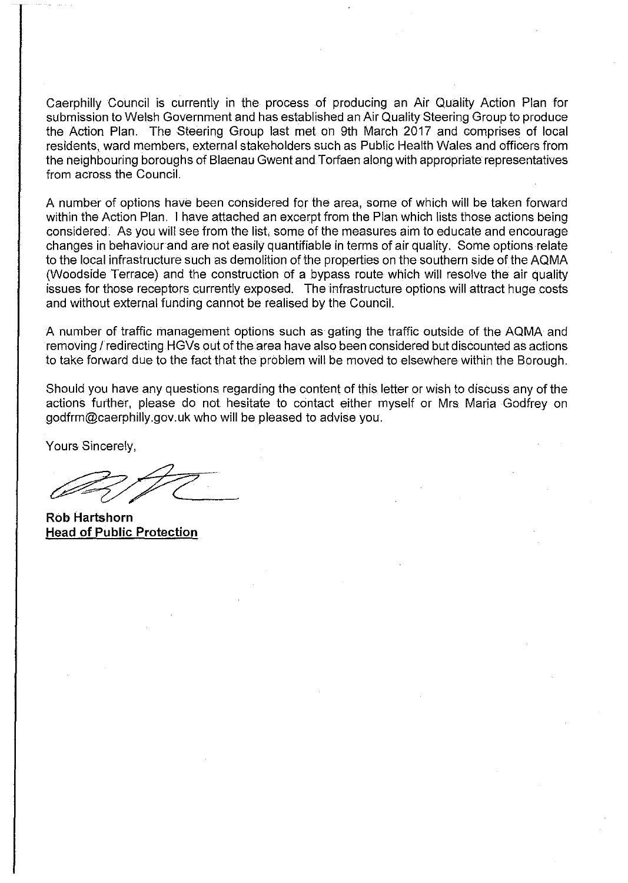Caerphilly Council is currently in the process of producing an Air Quality Action Plan for submission to Welsh Govemment and has established an Air Quality Steering Group to produce the Action Plan. The Steering Group last met on 9th March 2017 and comprises of local residents, ward members, extemal stakeholders such as Public Health Wales and officers from the neighbouring boroughs of Blaenau Gwent and Torfaen along with appropriate representatives from across the Council.

A number of options have been considered for the area, some of which will be taken forward within the Action Plan. I have attached an excerpt from the Plan which lists those actions being considered. As you will see from the list, some of the measures aim to educate and encourage changes in behaviour and are not easily quantifiable in terms of air quality. Some options relate to the local infrastructure such as demolition of the properties on the southem side of the AQMA (Woodside Terrace) and the construction of a bypass route which will resolve the air quality issues for those receptors currently exposed. The infrastructure options will attract huge costs and without external funding cannot be realised by the Council.

A number of traffic management options such as gating the traffic outside of the AQMA and removing / redirecting HGVs out of the area have also been considered but discounted as actions to take forward due to the fact that the problem will be moved to elsewhere within the Borough.

Should you have any questions regarding the content of this letter or wish to discuss any of the actions further, please do not hesitate to contact either myself or Mrs Maria Godfrey on godfrm@caerphilly.gov.uk who will be pleased to advise you.

Yours Sincerely,

**Rob Hartshorn Head of Public Protection**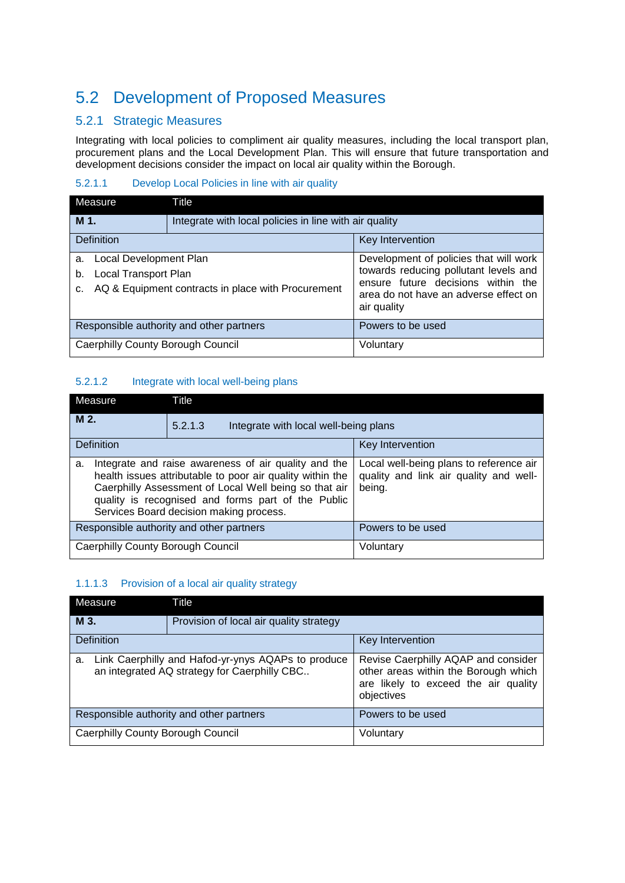# 5.2 Development of Proposed Measures

## 5.2.1 Strategic Measures

Integrating with local policies to compliment air quality measures, including the local transport plan, procurement plans and the Local Development Plan. This will ensure that future transportation and development decisions consider the impact on local air quality within the Borough.

#### 5.2.1.1 Develop Local Policies in line with air quality

| Measure                                                          | Title                                                  |                                                                                                                                                                               |
|------------------------------------------------------------------|--------------------------------------------------------|-------------------------------------------------------------------------------------------------------------------------------------------------------------------------------|
| M 1.                                                             | Integrate with local policies in line with air quality |                                                                                                                                                                               |
| <b>Definition</b>                                                |                                                        | Key Intervention                                                                                                                                                              |
| Local Development Plan<br>a.<br>Local Transport Plan<br>b.<br>C. | AQ & Equipment contracts in place with Procurement     | Development of policies that will work<br>towards reducing pollutant levels and<br>ensure future decisions within the<br>area do not have an adverse effect on<br>air quality |
| Responsible authority and other partners                         |                                                        | Powers to be used                                                                                                                                                             |
| Caerphilly County Borough Council                                |                                                        | Voluntary                                                                                                                                                                     |

#### 5.2.1.2 Integrate with local well-being plans

| Measure                           | Title                                                                                                                                                                                                                                                                       |                                                                                             |  |
|-----------------------------------|-----------------------------------------------------------------------------------------------------------------------------------------------------------------------------------------------------------------------------------------------------------------------------|---------------------------------------------------------------------------------------------|--|
| M <sub>2</sub>                    | 5.2.1.3                                                                                                                                                                                                                                                                     | Integrate with local well-being plans                                                       |  |
| <b>Definition</b>                 |                                                                                                                                                                                                                                                                             | Key Intervention                                                                            |  |
| a.                                | Integrate and raise awareness of air quality and the<br>health issues attributable to poor air quality within the<br>Caerphilly Assessment of Local Well being so that air<br>quality is recognised and forms part of the Public<br>Services Board decision making process. | Local well-being plans to reference air<br>quality and link air quality and well-<br>being. |  |
|                                   | Responsible authority and other partners                                                                                                                                                                                                                                    | Powers to be used                                                                           |  |
| Caerphilly County Borough Council |                                                                                                                                                                                                                                                                             | Voluntary                                                                                   |  |

#### 1.1.1.3 Provision of a local air quality strategy

| Measure                                                                                                  | Title                                   |                                                                                                                                   |
|----------------------------------------------------------------------------------------------------------|-----------------------------------------|-----------------------------------------------------------------------------------------------------------------------------------|
| M 3.                                                                                                     | Provision of local air quality strategy |                                                                                                                                   |
| Definition                                                                                               |                                         | Key Intervention                                                                                                                  |
| Link Caerphilly and Hafod-yr-ynys AQAPs to produce<br>a.<br>an integrated AQ strategy for Caerphilly CBC |                                         | Revise Caerphilly AQAP and consider<br>other areas within the Borough which<br>are likely to exceed the air quality<br>objectives |
| Responsible authority and other partners                                                                 |                                         | Powers to be used                                                                                                                 |
| Caerphilly County Borough Council                                                                        |                                         | Voluntary                                                                                                                         |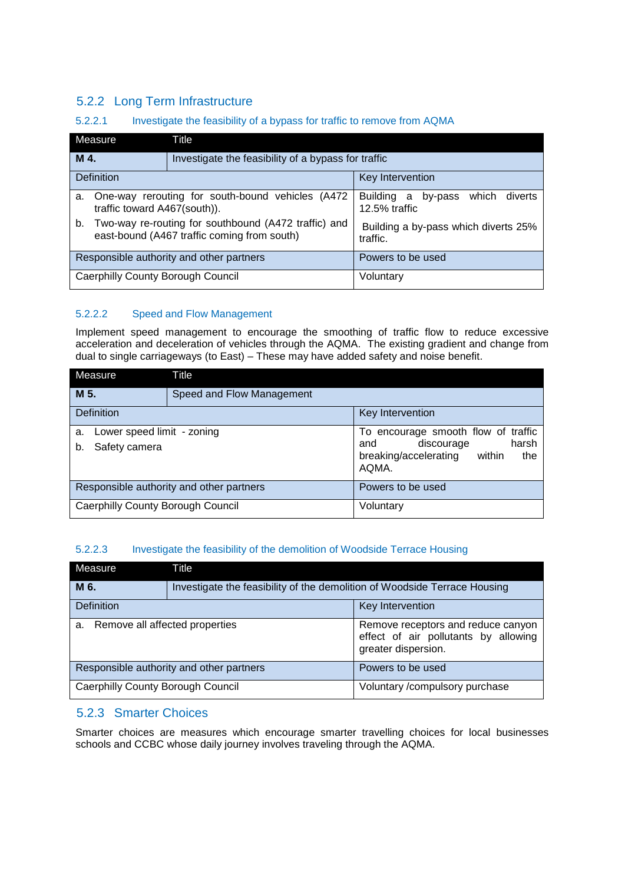# 5.2.2 Long Term Infrastructure

#### 5.2.2.1 Investigate the feasibility of a bypass for traffic to remove from AQMA

| Measure                                                                                                   | Title                                               |                                                         |
|-----------------------------------------------------------------------------------------------------------|-----------------------------------------------------|---------------------------------------------------------|
| M 4.                                                                                                      | Investigate the feasibility of a bypass for traffic |                                                         |
| Definition                                                                                                | Key Intervention                                    |                                                         |
| a.<br>traffic toward A467(south)).                                                                        | One-way rerouting for south-bound vehicles (A472)   | by-pass which<br>diverts<br>Building a<br>12.5% traffic |
| Two-way re-routing for southbound (A472 traffic) and<br>b.<br>east-bound (A467 traffic coming from south) |                                                     | Building a by-pass which diverts 25%<br>traffic.        |
| Responsible authority and other partners                                                                  |                                                     | Powers to be used                                       |
| <b>Caerphilly County Borough Council</b>                                                                  |                                                     | Voluntary                                               |

### 5.2.2.2 Speed and Flow Management

Implement speed management to encourage the smoothing of traffic flow to reduce excessive acceleration and deceleration of vehicles through the AQMA. The existing gradient and change from dual to single carriageways (to East) – These may have added safety and noise benefit.

| Measure                                                 | Title                     |                                                                                                                   |
|---------------------------------------------------------|---------------------------|-------------------------------------------------------------------------------------------------------------------|
| M 5.                                                    | Speed and Flow Management |                                                                                                                   |
| <b>Definition</b>                                       |                           | Key Intervention                                                                                                  |
| Lower speed limit - zoning<br>a.<br>Safety camera<br>b. |                           | To encourage smooth flow of traffic<br>harsh<br>discourage<br>and<br>breaking/accelerating within<br>the<br>AQMA. |
| Responsible authority and other partners                |                           | Powers to be used                                                                                                 |
| Caerphilly County Borough Council                       |                           | Voluntary                                                                                                         |

#### 5.2.2.3 Investigate the feasibility of the demolition of Woodside Terrace Housing

| Measure                                  | Title                                                                     |                                                                                                   |
|------------------------------------------|---------------------------------------------------------------------------|---------------------------------------------------------------------------------------------------|
| M 6.                                     | Investigate the feasibility of the demolition of Woodside Terrace Housing |                                                                                                   |
| Definition                               |                                                                           | Key Intervention                                                                                  |
| Remove all affected properties<br>a.     |                                                                           | Remove receptors and reduce canyon<br>effect of air pollutants by allowing<br>greater dispersion. |
| Responsible authority and other partners |                                                                           | Powers to be used                                                                                 |
| <b>Caerphilly County Borough Council</b> |                                                                           | Voluntary /compulsory purchase                                                                    |

## 5.2.3 Smarter Choices

Smarter choices are measures which encourage smarter travelling choices for local businesses schools and CCBC whose daily journey involves traveling through the AQMA.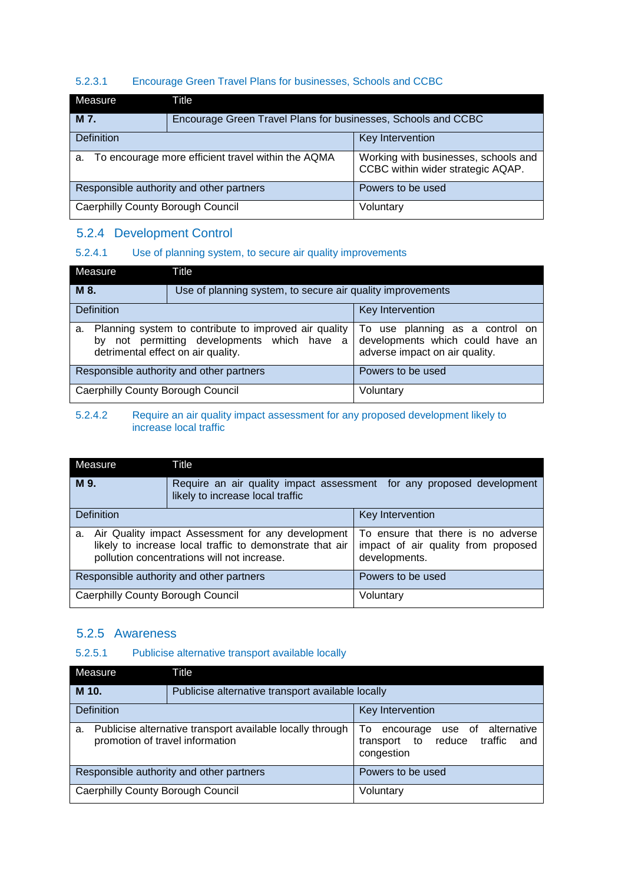#### 5.2.3.1 Encourage Green Travel Plans for businesses, Schools and CCBC

| Measure                                                  | Title                                                         |                                                                           |
|----------------------------------------------------------|---------------------------------------------------------------|---------------------------------------------------------------------------|
| M 7.                                                     | Encourage Green Travel Plans for businesses, Schools and CCBC |                                                                           |
| <b>Definition</b><br>Key Intervention                    |                                                               |                                                                           |
| To encourage more efficient travel within the AQMA<br>a. |                                                               | Working with businesses, schools and<br>CCBC within wider strategic AQAP. |
| Responsible authority and other partners                 |                                                               | Powers to be used                                                         |
| <b>Caerphilly County Borough Council</b>                 |                                                               | Voluntary                                                                 |

## 5.2.4 Development Control

### 5.2.4.1 Use of planning system, to secure air quality improvements

| Measure                                                                                                                                          | Title                                                      |                                                                                                       |
|--------------------------------------------------------------------------------------------------------------------------------------------------|------------------------------------------------------------|-------------------------------------------------------------------------------------------------------|
| M 8.                                                                                                                                             | Use of planning system, to secure air quality improvements |                                                                                                       |
| <b>Definition</b>                                                                                                                                |                                                            | Key Intervention                                                                                      |
| Planning system to contribute to improved air quality<br>a.<br>by not permitting developments which have a<br>detrimental effect on air quality. |                                                            | To use planning as a control on<br>developments which could have an<br>adverse impact on air quality. |
| Responsible authority and other partners                                                                                                         |                                                            | Powers to be used                                                                                     |
| Caerphilly County Borough Council                                                                                                                |                                                            | Voluntary                                                                                             |

#### 5.2.4.2 Require an air quality impact assessment for any proposed development likely to increase local traffic

| Measure                                                                                                                                                            | Title                                                                                                     |                                                                                            |
|--------------------------------------------------------------------------------------------------------------------------------------------------------------------|-----------------------------------------------------------------------------------------------------------|--------------------------------------------------------------------------------------------|
| M 9.                                                                                                                                                               | Require an air quality impact assessment for any proposed development<br>likely to increase local traffic |                                                                                            |
| Definition                                                                                                                                                         |                                                                                                           | Key Intervention                                                                           |
| Air Quality impact Assessment for any development<br>a.<br>likely to increase local traffic to demonstrate that air<br>pollution concentrations will not increase. |                                                                                                           | To ensure that there is no adverse<br>impact of air quality from proposed<br>developments. |
| Responsible authority and other partners                                                                                                                           |                                                                                                           | Powers to be used                                                                          |
| Caerphilly County Borough Council                                                                                                                                  |                                                                                                           | Voluntary                                                                                  |

## 5.2.5 Awareness

### 5.2.5.1 Publicise alternative transport available locally

| Measure                                                                                            | Title |                                                                                            |  |
|----------------------------------------------------------------------------------------------------|-------|--------------------------------------------------------------------------------------------|--|
| M 10.                                                                                              |       | Publicise alternative transport available locally                                          |  |
| <b>Definition</b>                                                                                  |       | Key Intervention                                                                           |  |
| Publicise alternative transport available locally through<br>a.<br>promotion of travel information |       | use of alternative<br>To.<br>encourage<br>transport to reduce traffic<br>and<br>congestion |  |
| Responsible authority and other partners                                                           |       | Powers to be used                                                                          |  |
| <b>Caerphilly County Borough Council</b>                                                           |       | Voluntary                                                                                  |  |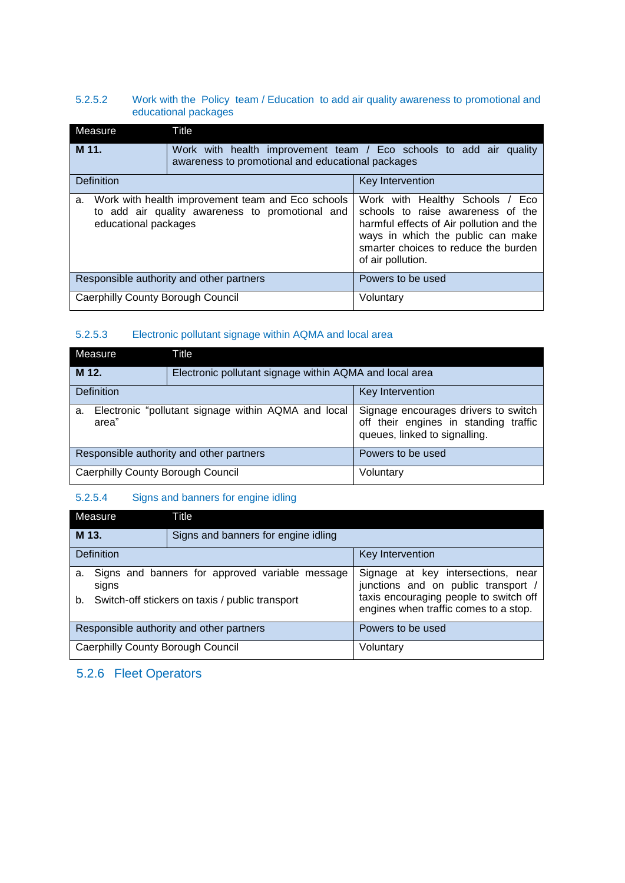#### 5.2.5.2 Work with the Policy team / Education to add air quality awareness to promotional and educational packages

| Measure                           | Title                                                                                                                   |                                                                                                                                                                                                                    |
|-----------------------------------|-------------------------------------------------------------------------------------------------------------------------|--------------------------------------------------------------------------------------------------------------------------------------------------------------------------------------------------------------------|
| M 11.                             | Work with health improvement team / Eco schools to add air quality<br>awareness to promotional and educational packages |                                                                                                                                                                                                                    |
| Definition<br>Key Intervention    |                                                                                                                         |                                                                                                                                                                                                                    |
| a.<br>educational packages        | Work with health improvement team and Eco schools<br>to add air quality awareness to promotional and                    | Work with Healthy Schools / Eco<br>schools to raise awareness of the<br>harmful effects of Air pollution and the<br>ways in which the public can make<br>smarter choices to reduce the burden<br>of air pollution. |
|                                   | Responsible authority and other partners                                                                                | Powers to be used                                                                                                                                                                                                  |
| Caerphilly County Borough Council |                                                                                                                         | Voluntary                                                                                                                                                                                                          |

#### 5.2.5.3 Electronic pollutant signage within AQMA and local area

| Measure                                                            | Title                                                   |                                                                                                                |
|--------------------------------------------------------------------|---------------------------------------------------------|----------------------------------------------------------------------------------------------------------------|
| M 12.                                                              | Electronic pollutant signage within AQMA and local area |                                                                                                                |
| <b>Definition</b>                                                  |                                                         | Key Intervention                                                                                               |
| Electronic "pollutant signage within AQMA and local<br>a.<br>area" |                                                         | Signage encourages drivers to switch<br>off their engines in standing traffic<br>queues, linked to signalling. |
| Responsible authority and other partners                           |                                                         | Powers to be used                                                                                              |
| Caerphilly County Borough Council                                  |                                                         | Voluntary                                                                                                      |

## 5.2.5.4 Signs and banners for engine idling

| Measure                                                        | Title                               |                                                                                 |
|----------------------------------------------------------------|-------------------------------------|---------------------------------------------------------------------------------|
| M 13.                                                          | Signs and banners for engine idling |                                                                                 |
| <b>Definition</b>                                              |                                     | Key Intervention                                                                |
| Signs and banners for approved variable message<br>а.<br>signs |                                     | Signage at key intersections, near<br>junctions and on public transport /       |
| Switch-off stickers on taxis / public transport<br>b.          |                                     | taxis encouraging people to switch off<br>engines when traffic comes to a stop. |
| Responsible authority and other partners                       |                                     | Powers to be used                                                               |
| Caerphilly County Borough Council                              |                                     | Voluntary                                                                       |

# 5.2.6 Fleet Operators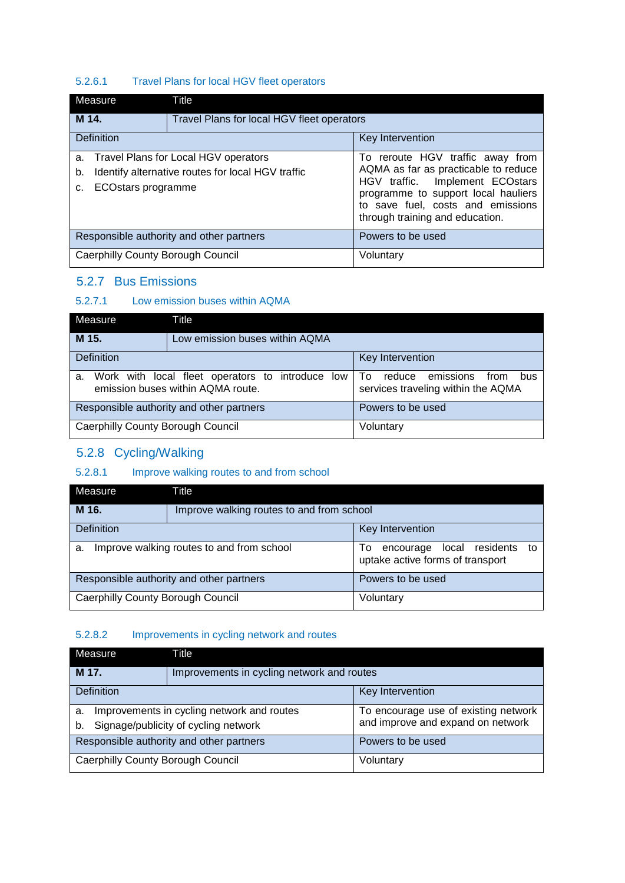### 5.2.6.1 Travel Plans for local HGV fleet operators

| Measure                                                                                                                               | Title                                      |                                                                                                                                                                                                                            |
|---------------------------------------------------------------------------------------------------------------------------------------|--------------------------------------------|----------------------------------------------------------------------------------------------------------------------------------------------------------------------------------------------------------------------------|
| M 14.                                                                                                                                 | Travel Plans for local HGV fleet operators |                                                                                                                                                                                                                            |
| <b>Definition</b>                                                                                                                     |                                            | Key Intervention                                                                                                                                                                                                           |
| a. Travel Plans for Local HGV operators<br>Identify alternative routes for local HGV traffic<br>b.<br><b>ECOstars programme</b><br>c. |                                            | To reroute HGV traffic away from<br>AQMA as far as practicable to reduce<br>HGV traffic. Implement ECOstars<br>programme to support local hauliers<br>to save fuel, costs and emissions<br>through training and education. |
| Responsible authority and other partners                                                                                              |                                            | Powers to be used                                                                                                                                                                                                          |
| <b>Caerphilly County Borough Council</b>                                                                                              |                                            | Voluntary                                                                                                                                                                                                                  |

### 5.2.7 Bus Emissions

#### 5.2.7.1 Low emission buses within AQMA

| Measure                                                                                        | Title                          |                                                                                 |
|------------------------------------------------------------------------------------------------|--------------------------------|---------------------------------------------------------------------------------|
| M 15.                                                                                          | Low emission buses within AQMA |                                                                                 |
| <b>Definition</b>                                                                              |                                | <b>Key Intervention</b>                                                         |
| Work with local fleet operators to introduce<br>low<br>a.<br>emission buses within AQMA route. |                                | emissions<br>reduce<br>To.<br>from<br>bus<br>services traveling within the AQMA |
| Responsible authority and other partners                                                       |                                | Powers to be used                                                               |
| <b>Caerphilly County Borough Council</b>                                                       |                                | Voluntary                                                                       |

# 5.2.8 Cycling/Walking

### 5.2.8.1 Improve walking routes to and from school

| Measure                                         | Title                                     |                                                                         |
|-------------------------------------------------|-------------------------------------------|-------------------------------------------------------------------------|
| M 16.                                           | Improve walking routes to and from school |                                                                         |
| <b>Definition</b>                               |                                           | Key Intervention                                                        |
| Improve walking routes to and from school<br>a. |                                           | encourage local residents to<br>To:<br>uptake active forms of transport |
| Responsible authority and other partners        |                                           | Powers to be used                                                       |
| <b>Caerphilly County Borough Council</b>        |                                           | Voluntary                                                               |

#### 5.2.8.2 Improvements in cycling network and routes

| Measure                                             | Title |                                      |
|-----------------------------------------------------|-------|--------------------------------------|
| M 17.<br>Improvements in cycling network and routes |       |                                      |
| <b>Definition</b>                                   |       | Key Intervention                     |
| Improvements in cycling network and routes<br>a.    |       | To encourage use of existing network |
| Signage/publicity of cycling network<br>b.          |       | and improve and expand on network    |
| Responsible authority and other partners            |       | Powers to be used                    |
| <b>Caerphilly County Borough Council</b>            |       | Voluntary                            |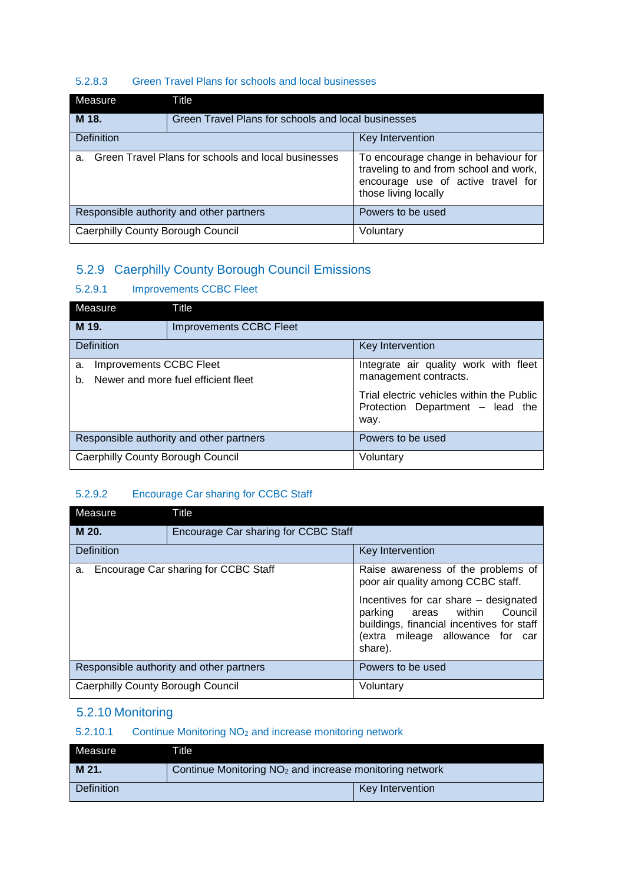#### 5.2.8.3 Green Travel Plans for schools and local businesses

| Measure                                                        | Title                                               |                                                                                                                                              |
|----------------------------------------------------------------|-----------------------------------------------------|----------------------------------------------------------------------------------------------------------------------------------------------|
| M 18.                                                          | Green Travel Plans for schools and local businesses |                                                                                                                                              |
| <b>Definition</b>                                              |                                                     | Key Intervention                                                                                                                             |
| Green Travel Plans for schools and local businesses<br>$a_{-}$ |                                                     | To encourage change in behaviour for<br>traveling to and from school and work,<br>encourage use of active travel for<br>those living locally |
|                                                                | Responsible authority and other partners            | Powers to be used                                                                                                                            |
| Caerphilly County Borough Council                              |                                                     | Voluntary                                                                                                                                    |

# 5.2.9 Caerphilly County Borough Council Emissions

## 5.2.9.1 Improvements CCBC Fleet

| Measure                                 | Title                                    |                                                                                       |
|-----------------------------------------|------------------------------------------|---------------------------------------------------------------------------------------|
| M 19.<br><b>Improvements CCBC Fleet</b> |                                          |                                                                                       |
| <b>Definition</b>                       |                                          | Key Intervention                                                                      |
| Improvements CCBC Fleet<br>a.<br>b.     | Newer and more fuel efficient fleet      | Integrate air quality work with fleet<br>management contracts.                        |
|                                         |                                          | Trial electric vehicles within the Public<br>Protection Department - lead the<br>way. |
|                                         | Responsible authority and other partners | Powers to be used                                                                     |
| Caerphilly County Borough Council       |                                          | Voluntary                                                                             |

## 5.2.9.2 Encourage Car sharing for CCBC Staff

| Measure                           | Title                                    |                                                                                                                                                                      |
|-----------------------------------|------------------------------------------|----------------------------------------------------------------------------------------------------------------------------------------------------------------------|
| M 20.                             | Encourage Car sharing for CCBC Staff     |                                                                                                                                                                      |
| Definition                        |                                          | Key Intervention                                                                                                                                                     |
| a.                                | Encourage Car sharing for CCBC Staff     | Raise awareness of the problems of<br>poor air quality among CCBC staff.                                                                                             |
|                                   |                                          | Incentives for car share – designated<br>parking areas within<br>Council<br>buildings, financial incentives for staff<br>(extra mileage allowance for car<br>share). |
|                                   | Responsible authority and other partners | Powers to be used                                                                                                                                                    |
| Caerphilly County Borough Council |                                          | Voluntary                                                                                                                                                            |

# 5.2.10 Monitoring

# 5.2.10.1 Continue Monitoring NO<sup>2</sup> and increase monitoring network

| Measure           | <b>Title</b>                                                        |                  |
|-------------------|---------------------------------------------------------------------|------------------|
| M 21.             | Continue Monitoring NO <sub>2</sub> and increase monitoring network |                  |
| <b>Definition</b> |                                                                     | Key Intervention |